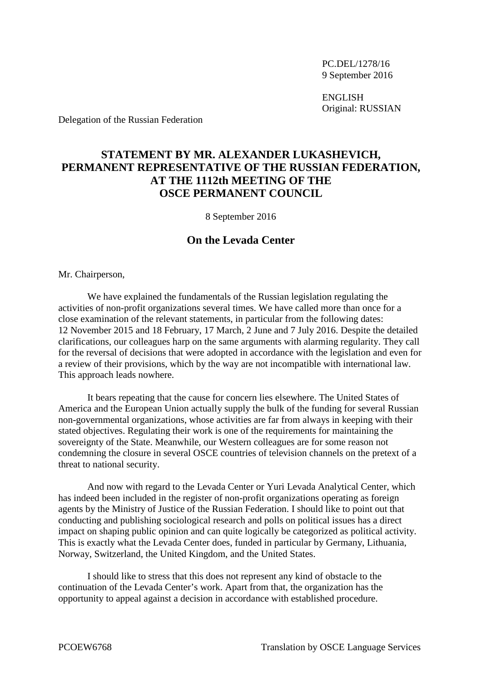PC.DEL/1278/16 9 September 2016

ENGLISH Original: RUSSIAN

Delegation of the Russian Federation

## **STATEMENT BY MR. ALEXANDER LUKASHEVICH, PERMANENT REPRESENTATIVE OF THE RUSSIAN FEDERATION, AT THE 1112th MEETING OF THE OSCE PERMANENT COUNCIL**

8 September 2016

## **On the Levada Center**

Mr. Chairperson,

We have explained the fundamentals of the Russian legislation regulating the activities of non-profit organizations several times. We have called more than once for a close examination of the relevant statements, in particular from the following dates: 12 November 2015 and 18 February, 17 March, 2 June and 7 July 2016. Despite the detailed clarifications, our colleagues harp on the same arguments with alarming regularity. They call for the reversal of decisions that were adopted in accordance with the legislation and even for a review of their provisions, which by the way are not incompatible with international law. This approach leads nowhere.

It bears repeating that the cause for concern lies elsewhere. The United States of America and the European Union actually supply the bulk of the funding for several Russian non-governmental organizations, whose activities are far from always in keeping with their stated objectives. Regulating their work is one of the requirements for maintaining the sovereignty of the State. Meanwhile, our Western colleagues are for some reason not condemning the closure in several OSCE countries of television channels on the pretext of a threat to national security.

And now with regard to the Levada Center or Yuri Levada Analytical Center, which has indeed been included in the register of non-profit organizations operating as foreign agents by the Ministry of Justice of the Russian Federation. I should like to point out that conducting and publishing sociological research and polls on political issues has a direct impact on shaping public opinion and can quite logically be categorized as political activity. This is exactly what the Levada Center does, funded in particular by Germany, Lithuania, Norway, Switzerland, the United Kingdom, and the United States.

I should like to stress that this does not represent any kind of obstacle to the continuation of the Levada Center's work. Apart from that, the organization has the opportunity to appeal against a decision in accordance with established procedure.